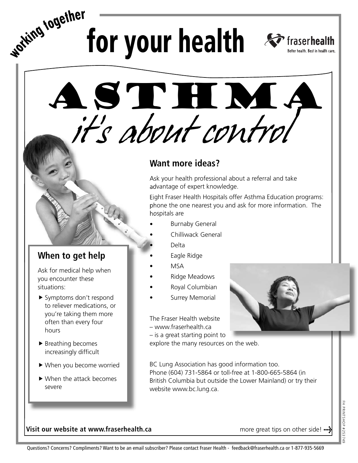for your health *s* fraserhealth



*it's about control* Asthma

## **Want more ideas?**

Ask your health professional about a referral and take advantage of expert knowledge.

Eight Fraser Health Hospitals offer Asthma Education programs: phone the one nearest you and ask for more information. The hospitals are

- **Burnaby General**
- Chilliwack General
	- Delta
- Eagle Ridge
- MSA
- Ridge Meadows
- Royal Columbian
- Surrey Memorial

The Fraser Health website – www.fraserhealth.ca – is a great starting point to

explore the many resources on the web.

BC Lung Association has good information too. Phone (604) 731-5864 or toll-free at 1-800-665-5864 (in British Columbia but outside the Lower Mainland) or try their website www.bc.lung.ca.



**When to get help**

you encounter these

▶ Breathing becomes increasingly difficult

When you become worried f

▶ When the attack becomes

situations:

hours

severe

Ask for medical help when

▶ Symptoms don't respond to reliever medications, or you're taking them more often than every four

**wo<sup>r</sup>kin<sup>g</sup> <sup>t</sup>ogethe<sup>r</sup>**

more great tips on other side!  $\cdots$ 



## Questions? Concerns? Compliments? Want to be an email subscriber? Please contact Fraser Health - feedback@fraserhealth.ca or 1-877-935-5669